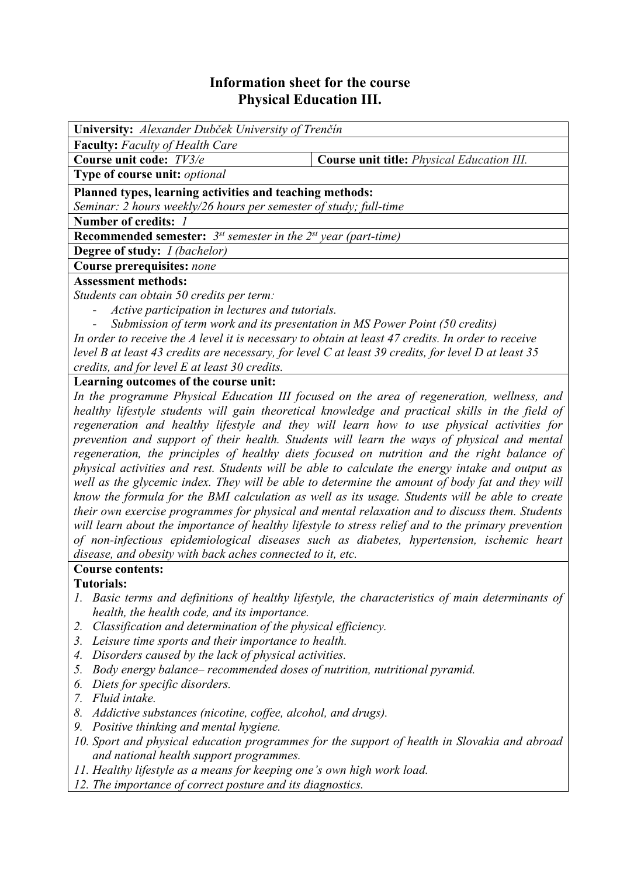# **Information sheet for the course Physical Education III.**

| <b>University:</b> Alexander Dubček University of Trenčín                                               |                                                                                                                                             |  |  |  |  |
|---------------------------------------------------------------------------------------------------------|---------------------------------------------------------------------------------------------------------------------------------------------|--|--|--|--|
| <b>Faculty:</b> Faculty of Health Care                                                                  |                                                                                                                                             |  |  |  |  |
| Course unit code: TV3/e                                                                                 | <b>Course unit title:</b> <i>Physical Education III.</i>                                                                                    |  |  |  |  |
| Type of course unit: optional                                                                           |                                                                                                                                             |  |  |  |  |
| Planned types, learning activities and teaching methods:                                                |                                                                                                                                             |  |  |  |  |
| Seminar: 2 hours weekly/26 hours per semester of study; full-time                                       |                                                                                                                                             |  |  |  |  |
| Number of credits: 1                                                                                    |                                                                                                                                             |  |  |  |  |
| <b>Recommended semester:</b> $3^{st}$ semester in the $2^{st}$ year (part-time)                         |                                                                                                                                             |  |  |  |  |
| <b>Degree of study:</b> <i>I (bachelor)</i>                                                             |                                                                                                                                             |  |  |  |  |
| Course prerequisites: none                                                                              |                                                                                                                                             |  |  |  |  |
| <b>Assessment methods:</b>                                                                              |                                                                                                                                             |  |  |  |  |
| Students can obtain 50 credits per term:                                                                |                                                                                                                                             |  |  |  |  |
| Active participation in lectures and tutorials.                                                         |                                                                                                                                             |  |  |  |  |
| Submission of term work and its presentation in MS Power Point (50 credits)<br>$\overline{\phantom{0}}$ |                                                                                                                                             |  |  |  |  |
| In order to receive the A level it is necessary to obtain at least 47 credits. In order to receive      |                                                                                                                                             |  |  |  |  |
| level B at least 43 credits are necessary, for level C at least 39 credits, for level D at least 35     |                                                                                                                                             |  |  |  |  |
| credits, and for level E at least 30 credits.                                                           |                                                                                                                                             |  |  |  |  |
| Learning outcomes of the course unit:                                                                   |                                                                                                                                             |  |  |  |  |
|                                                                                                         | Let the convergence of $\mathbf{D} L$ and $\mathbf{D} L$ and $\mathbf{D} L$ and $\mathbf{D} L$ are the conventional contract of $L$ and $L$ |  |  |  |  |

*In the programme Physical Education III focused on the area of regeneration, wellness, and healthy lifestyle students will gain theoretical knowledge and practical skills in the field of regeneration and healthy lifestyle and they will learn how to use physical activities for prevention and support of their health. Students will learn the ways of physical and mental regeneration, the principles of healthy diets focused on nutrition and the right balance of physical activities and rest. Students will be able to calculate the energy intake and output as well as the glycemic index. They will be able to determine the amount of body fat and they will know the formula for the BMI calculation as well as its usage. Students will be able to create their own exercise programmes for physical and mental relaxation and to discuss them. Students will learn about the importance of healthy lifestyle to stress relief and to the primary prevention of non-infectious epidemiological diseases such as diabetes, hypertension, ischemic heart disease, and obesity with back aches connected to it, etc.* 

### **Course contents:**

#### **Tutorials:**

- *1. Basic terms and definitions of healthy lifestyle, the characteristics of main determinants of health, the health code, and its importance.*
- *2. Classification and determination of the physical efficiency.*
- *3. Leisure time sports and their importance to health.*
- *4. Disorders caused by the lack of physical activities.*
- *5. Body energy balance– recommended doses of nutrition, nutritional pyramid.*
- *6. Diets for specific disorders.*
- *7. Fluid intake.*
- *8. Addictive substances (nicotine, coffee, alcohol, and drugs).*
- *9. Positive thinking and mental hygiene.*
- *10. Sport and physical education programmes for the support of health in Slovakia and abroad and national health support programmes.*
- *11. Healthy lifestyle as a means for keeping one's own high work load.*
- *12. The importance of correct posture and its diagnostics.*